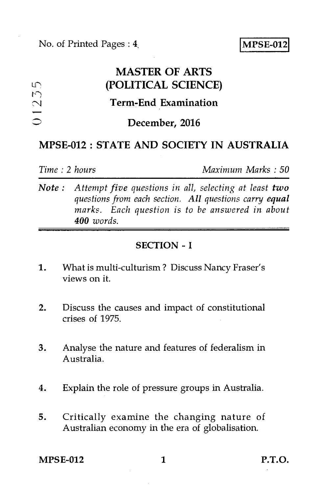|                                                                | <b>MASTER OF ARTS</b>       |
|----------------------------------------------------------------|-----------------------------|
| LQ.                                                            | (POLITICAL SCIENCE)         |
| $\cup$<br>$\overline{\mathcal{C}}$<br>$\overline{\phantom{0}}$ | <b>Term-End Examination</b> |
| $\circ$                                                        | December, 2016              |
|                                                                |                             |

## MPSE-012 : STATE AND SOCIETY IN AUSTRALIA

*Time : 2 hours Maximum Marks : 50* 

*Note : Attempt five questions in all, selecting at least two questions from each section. All questions carry equal marks. Each question is to be answered in about 400 words.* 

## SECTION - I

- 1. What is multi-culturism ? Discuss Nancy Fraser's views on it.
- 2. Discuss the causes and impact of constitutional crises of 1975.
- 3. Analyse the nature and features of federalism in Australia.
- 4. Explain the role of pressure groups in Australia.
- 5. Critically examine the changing nature of Australian economy in the era of globalisation.

 $MPSE-012$  1 P.T.O.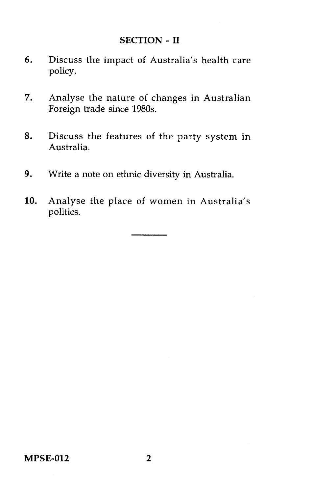### SECTION - **II**

- 6. Discuss the impact of Australia's health care policy.
- 7. Analyse the nature of changes in Australian Foreign trade since 1980s.
- 8. Discuss the features of the party system in Australia.
- 9. Write a note on ethnic diversity in Australia.
- 10. Analyse the place of women in Australia's politics.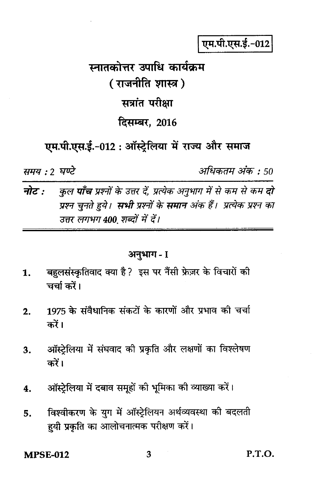एम.पी.एस.ई.-012

# स्नातकोत्तर उपाधि कार्यकम ( राजनीति शास्त्र ) सत्रांत परीक्षा दिसम्बर, 2016

एम.पी.एस.ई.-012 : ऑस्ट्रेलिया में राज्य और समाज

समय : २ घण्टे

अधिकतम अंक : 50

नोट $\cdot$ कुल **पाँच** प्रश्नों के उत्तर दें. प्रत्येक अनुभाग में से कम से कम **दो** प्रश्न चुनते हुये। **सभी** प्रश्नों के **समान** अंक हैं। प्रत्येक प्रश्न का उत्तर लगभग 400 शब्दों में दें।

#### अनुभाग - I

- बहलसंस्कृतिवाद क्या है? इस पर नैंसी फ्रेज़र के विचारों की  $\mathbf{1}$ . चर्चा करें।
- 1975 के संवैधानिक संकटों के कारणों और प्रभाव की चर्चा  $2.$ करें।
- ऑस्ट्रेलिया में संघवाद की प्रकृति और लक्षणों का विश्लेषण 3. करें।
- ऑस्ट्रेलिया में दबाव समूहों की भूमिका की व्याख्या करें। 4.
- विश्वीकरण के युग में ऑस्ट्रेलियन अर्थव्यवस्था की बदलती 5. हयी प्रकृति का आलोचनात्मक परीक्षण करें।

**MPSE-012** 

P.T.O.

3